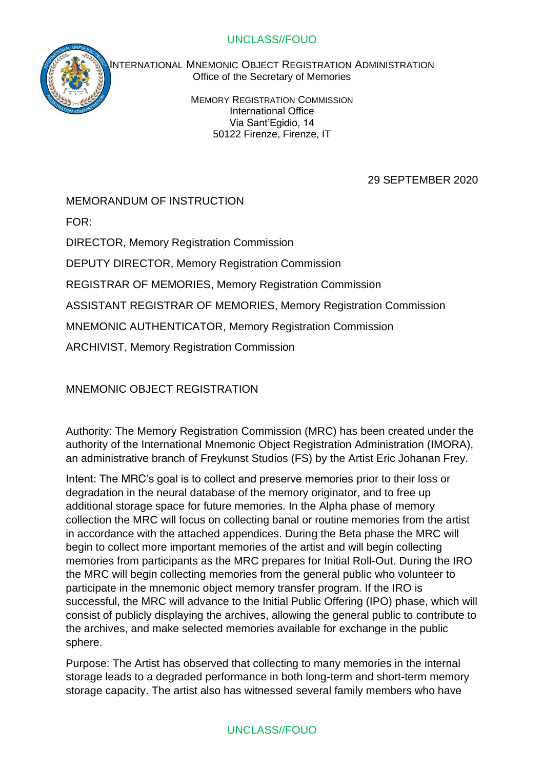

INTERNATIONAL MNEMONIC OBJECT REGISTRATION ADMINISTRATION Office of the Secretary of Memories

> MEMORY REGISTRATION COMMISSION International Office Via Sant'Egidio, 14 50122 Firenze, Firenze, IT

## 29 SEPTEMBER 2020

MEMORANDUM OF INSTRUCTION

FOR:

DIRECTOR, Memory Registration Commission

DEPUTY DIRECTOR, Memory Registration Commission

REGISTRAR OF MEMORIES, Memory Registration Commission

ASSISTANT REGISTRAR OF MEMORIES, Memory Registration Commission

MNEMONIC AUTHENTICATOR, Memory Registration Commission

ARCHIVIST, Memory Registration Commission

MNEMONIC OBJECT REGISTRATION

Authority: The Memory Registration Commission (MRC) has been created under the authority of the International Mnemonic Object Registration Administration (IMORA), an administrative branch of Freykunst Studios (FS) by the Artist Eric Johanan Frey.

Intent: The MRC's goal is to collect and preserve memories prior to their loss or degradation in the neural database of the memory originator, and to free up additional storage space for future memories. In the Alpha phase of memory collection the MRC will focus on collecting banal or routine memories from the artist in accordance with the attached appendices. During the Beta phase the MRC will begin to collect more important memories of the artist and will begin collecting memories from participants as the MRC prepares for Initial Roll-Out. During the IRO the MRC will begin collecting memories from the general public who volunteer to participate in the mnemonic object memory transfer program. If the IRO is successful, the MRC will advance to the Initial Public Offering (IPO) phase, which will consist of publicly displaying the archives, allowing the general public to contribute to the archives, and make selected memories available for exchange in the public sphere.

Purpose: The Artist has observed that collecting to many memories in the internal storage leads to a degraded performance in both long-term and short-term memory storage capacity. The artist also has witnessed several family members who have

# UNCLASS//FOUO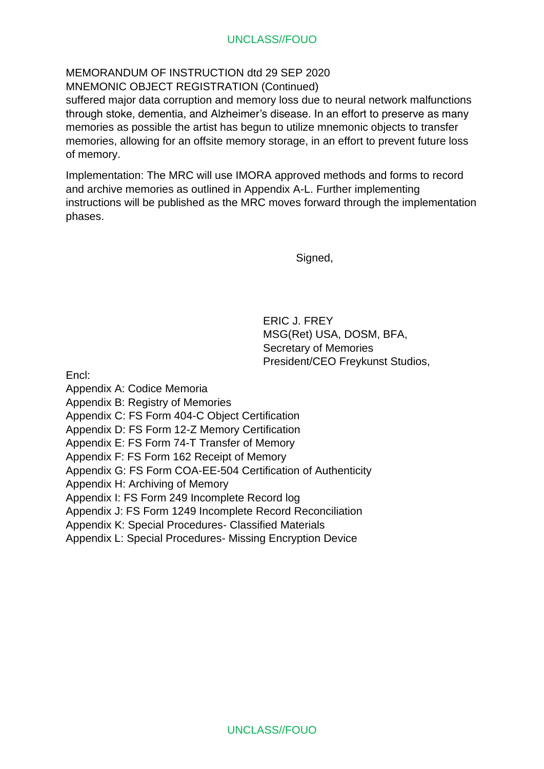MEMORANDUM OF INSTRUCTION dtd 29 SEP 2020 MNEMONIC OBJECT REGISTRATION (Continued)

suffered major data corruption and memory loss due to neural network malfunctions through stoke, dementia, and Alzheimer's disease. In an effort to preserve as many memories as possible the artist has begun to utilize mnemonic objects to transfer memories, allowing for an offsite memory storage, in an effort to prevent future loss of memory.

Implementation: The MRC will use IMORA approved methods and forms to record and archive memories as outlined in Appendix A-L. Further implementing instructions will be published as the MRC moves forward through the implementation phases.

Signed,

ERIC J. FREY MSG(Ret) USA, DOSM, BFA, Secretary of Memories President/CEO Freykunst Studios,

Encl:

Appendix A: Codice Memoria

Appendix B: Registry of Memories

Appendix C: FS Form 404-C Object Certification

Appendix D: FS Form 12-Z Memory Certification

Appendix E: FS Form 74-T Transfer of Memory

Appendix F: FS Form 162 Receipt of Memory

Appendix G: FS Form COA-EE-504 Certification of Authenticity

Appendix H: Archiving of Memory

Appendix I: FS Form 249 Incomplete Record log

Appendix J: FS Form 1249 Incomplete Record Reconciliation

Appendix K: Special Procedures- Classified Materials

Appendix L: Special Procedures- Missing Encryption Device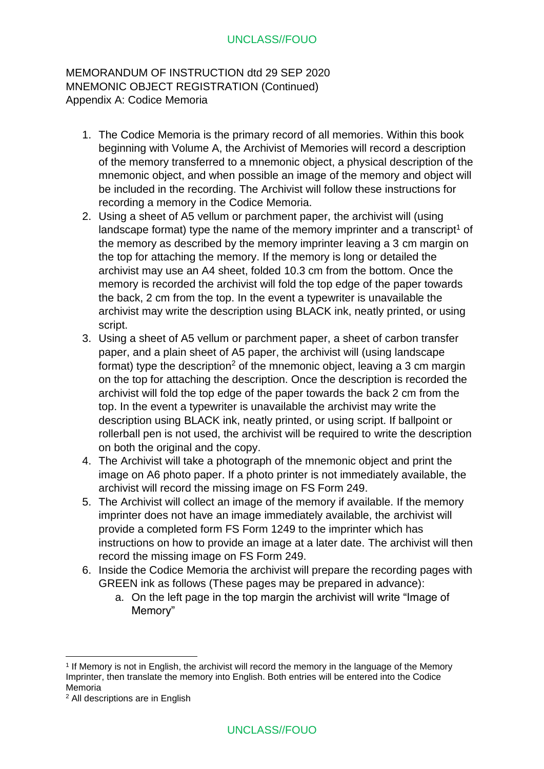MEMORANDUM OF INSTRUCTION dtd 29 SEP 2020 MNEMONIC OBJECT REGISTRATION (Continued) Appendix A: Codice Memoria

- 1. The Codice Memoria is the primary record of all memories. Within this book beginning with Volume A, the Archivist of Memories will record a description of the memory transferred to a mnemonic object, a physical description of the mnemonic object, and when possible an image of the memory and object will be included in the recording. The Archivist will follow these instructions for recording a memory in the Codice Memoria.
- 2. Using a sheet of A5 vellum or parchment paper, the archivist will (using landscape format) type the name of the memory imprinter and a transcript<sup>1</sup> of the memory as described by the memory imprinter leaving a 3 cm margin on the top for attaching the memory. If the memory is long or detailed the archivist may use an A4 sheet, folded 10.3 cm from the bottom. Once the memory is recorded the archivist will fold the top edge of the paper towards the back, 2 cm from the top. In the event a typewriter is unavailable the archivist may write the description using BLACK ink, neatly printed, or using script.
- 3. Using a sheet of A5 vellum or parchment paper, a sheet of carbon transfer paper, and a plain sheet of A5 paper, the archivist will (using landscape format) type the description<sup>2</sup> of the mnemonic object, leaving a 3 cm margin on the top for attaching the description. Once the description is recorded the archivist will fold the top edge of the paper towards the back 2 cm from the top. In the event a typewriter is unavailable the archivist may write the description using BLACK ink, neatly printed, or using script. If ballpoint or rollerball pen is not used, the archivist will be required to write the description on both the original and the copy.
- 4. The Archivist will take a photograph of the mnemonic object and print the image on A6 photo paper. If a photo printer is not immediately available, the archivist will record the missing image on FS Form 249.
- 5. The Archivist will collect an image of the memory if available. If the memory imprinter does not have an image immediately available, the archivist will provide a completed form FS Form 1249 to the imprinter which has instructions on how to provide an image at a later date. The archivist will then record the missing image on FS Form 249.
- 6. Inside the Codice Memoria the archivist will prepare the recording pages with GREEN ink as follows (These pages may be prepared in advance):
	- a. On the left page in the top margin the archivist will write "Image of Memory"

<sup>1</sup> If Memory is not in English, the archivist will record the memory in the language of the Memory Imprinter, then translate the memory into English. Both entries will be entered into the Codice Memoria

<sup>2</sup> All descriptions are in English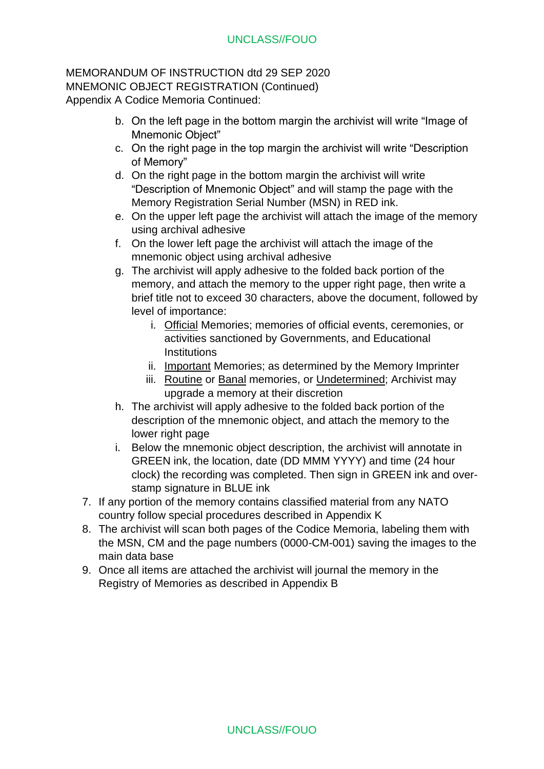MEMORANDUM OF INSTRUCTION dtd 29 SEP 2020 MNEMONIC OBJECT REGISTRATION (Continued) Appendix A Codice Memoria Continued:

- b. On the left page in the bottom margin the archivist will write "Image of Mnemonic Object"
- c. On the right page in the top margin the archivist will write "Description of Memory"
- d. On the right page in the bottom margin the archivist will write "Description of Mnemonic Object" and will stamp the page with the Memory Registration Serial Number (MSN) in RED ink.
- e. On the upper left page the archivist will attach the image of the memory using archival adhesive
- f. On the lower left page the archivist will attach the image of the mnemonic object using archival adhesive
- g. The archivist will apply adhesive to the folded back portion of the memory, and attach the memory to the upper right page, then write a brief title not to exceed 30 characters, above the document, followed by level of importance:
	- i. Official Memories; memories of official events, ceremonies, or activities sanctioned by Governments, and Educational **Institutions**
	- ii. Important Memories; as determined by the Memory Imprinter
	- iii. Routine or Banal memories, or Undetermined; Archivist may upgrade a memory at their discretion
- h. The archivist will apply adhesive to the folded back portion of the description of the mnemonic object, and attach the memory to the lower right page
- i. Below the mnemonic object description, the archivist will annotate in GREEN ink, the location, date (DD MMM YYYY) and time (24 hour clock) the recording was completed. Then sign in GREEN ink and overstamp signature in BLUE ink
- 7. If any portion of the memory contains classified material from any NATO country follow special procedures described in Appendix K
- 8. The archivist will scan both pages of the Codice Memoria, labeling them with the MSN, CM and the page numbers (0000-CM-001) saving the images to the main data base
- 9. Once all items are attached the archivist will journal the memory in the Registry of Memories as described in Appendix B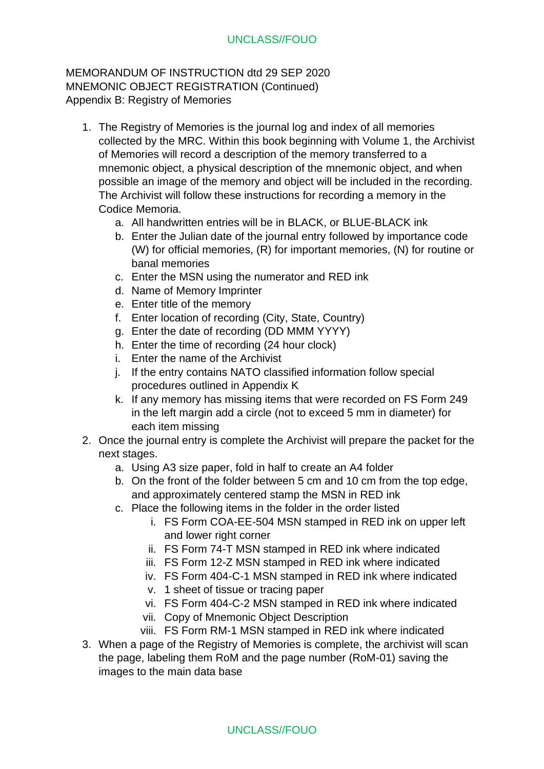MEMORANDUM OF INSTRUCTION dtd 29 SEP 2020 MNEMONIC OBJECT REGISTRATION (Continued) Appendix B: Registry of Memories

- 1. The Registry of Memories is the journal log and index of all memories collected by the MRC. Within this book beginning with Volume 1, the Archivist of Memories will record a description of the memory transferred to a mnemonic object, a physical description of the mnemonic object, and when possible an image of the memory and object will be included in the recording. The Archivist will follow these instructions for recording a memory in the Codice Memoria.
	- a. All handwritten entries will be in BLACK, or BLUE-BLACK ink
	- b. Enter the Julian date of the journal entry followed by importance code (W) for official memories, (R) for important memories, (N) for routine or banal memories
	- c. Enter the MSN using the numerator and RED ink
	- d. Name of Memory Imprinter
	- e. Enter title of the memory
	- f. Enter location of recording (City, State, Country)
	- g. Enter the date of recording (DD MMM YYYY)
	- h. Enter the time of recording (24 hour clock)
	- i. Enter the name of the Archivist
	- j. If the entry contains NATO classified information follow special procedures outlined in Appendix K
	- k. If any memory has missing items that were recorded on FS Form 249 in the left margin add a circle (not to exceed 5 mm in diameter) for each item missing
- 2. Once the journal entry is complete the Archivist will prepare the packet for the next stages.
	- a. Using A3 size paper, fold in half to create an A4 folder
	- b. On the front of the folder between 5 cm and 10 cm from the top edge, and approximately centered stamp the MSN in RED ink
	- c. Place the following items in the folder in the order listed
		- i. FS Form COA-EE-504 MSN stamped in RED ink on upper left and lower right corner
		- ii. FS Form 74-T MSN stamped in RED ink where indicated
		- iii. FS Form 12-Z MSN stamped in RED ink where indicated
		- iv. FS Form 404-C-1 MSN stamped in RED ink where indicated
		- v. 1 sheet of tissue or tracing paper
		- vi. FS Form 404-C-2 MSN stamped in RED ink where indicated
		- vii. Copy of Mnemonic Object Description
		- viii. FS Form RM-1 MSN stamped in RED ink where indicated
- 3. When a page of the Registry of Memories is complete, the archivist will scan the page, labeling them RoM and the page number (RoM-01) saving the images to the main data base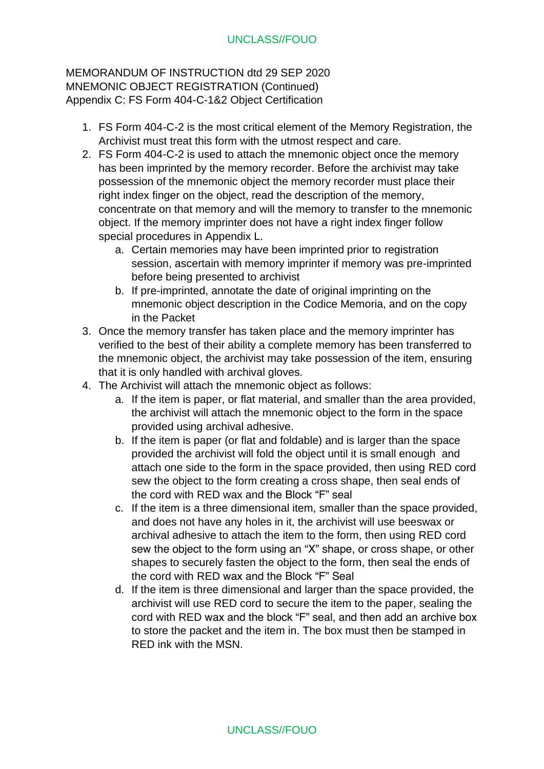MEMORANDUM OF INSTRUCTION dtd 29 SEP 2020 MNEMONIC OBJECT REGISTRATION (Continued) Appendix C: FS Form 404-C-1&2 Object Certification

- 1. FS Form 404-C-2 is the most critical element of the Memory Registration, the Archivist must treat this form with the utmost respect and care.
- 2. FS Form 404-C-2 is used to attach the mnemonic object once the memory has been imprinted by the memory recorder. Before the archivist may take possession of the mnemonic object the memory recorder must place their right index finger on the object, read the description of the memory, concentrate on that memory and will the memory to transfer to the mnemonic object. If the memory imprinter does not have a right index finger follow special procedures in Appendix L.
	- a. Certain memories may have been imprinted prior to registration session, ascertain with memory imprinter if memory was pre-imprinted before being presented to archivist
	- b. If pre-imprinted, annotate the date of original imprinting on the mnemonic object description in the Codice Memoria, and on the copy in the Packet
- 3. Once the memory transfer has taken place and the memory imprinter has verified to the best of their ability a complete memory has been transferred to the mnemonic object, the archivist may take possession of the item, ensuring that it is only handled with archival gloves.
- 4. The Archivist will attach the mnemonic object as follows:
	- a. If the item is paper, or flat material, and smaller than the area provided, the archivist will attach the mnemonic object to the form in the space provided using archival adhesive.
	- b. If the item is paper (or flat and foldable) and is larger than the space provided the archivist will fold the object until it is small enough and attach one side to the form in the space provided, then using RED cord sew the object to the form creating a cross shape, then seal ends of the cord with RED wax and the Block "F" seal
	- c. If the item is a three dimensional item, smaller than the space provided, and does not have any holes in it, the archivist will use beeswax or archival adhesive to attach the item to the form, then using RED cord sew the object to the form using an "X" shape, or cross shape, or other shapes to securely fasten the object to the form, then seal the ends of the cord with RED wax and the Block "F" Seal
	- d. If the item is three dimensional and larger than the space provided, the archivist will use RED cord to secure the item to the paper, sealing the cord with RED wax and the block "F" seal, and then add an archive box to store the packet and the item in. The box must then be stamped in RED ink with the MSN.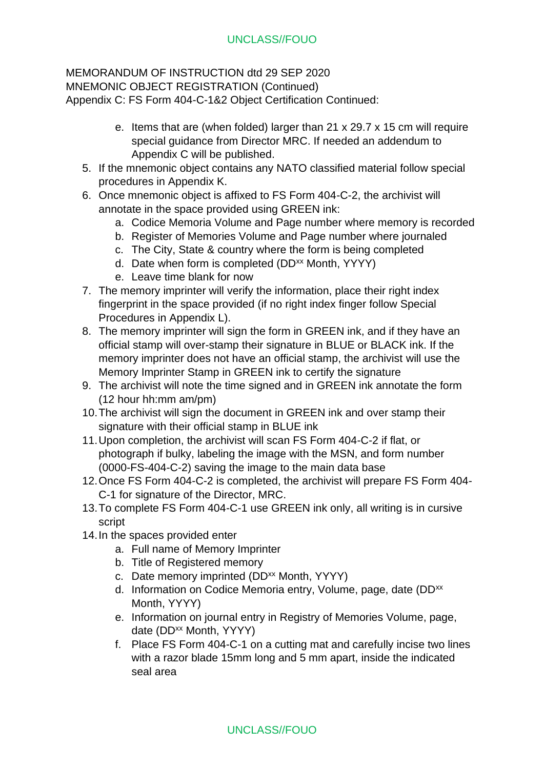#### MEMORANDUM OF INSTRUCTION dtd 29 SEP 2020 MNEMONIC OBJECT REGISTRATION (Continued) Appendix C: FS Form 404-C-1&2 Object Certification Continued:

- e. Items that are (when folded) larger than 21 x 29.7 x 15 cm will require special guidance from Director MRC. If needed an addendum to Appendix C will be published.
- 5. If the mnemonic object contains any NATO classified material follow special procedures in Appendix K.
- 6. Once mnemonic object is affixed to FS Form 404-C-2, the archivist will annotate in the space provided using GREEN ink:
	- a. Codice Memoria Volume and Page number where memory is recorded
	- b. Register of Memories Volume and Page number where journaled
	- c. The City, State & country where the form is being completed
	- d. Date when form is completed (DD<sup>xx</sup> Month, YYYY)
	- e. Leave time blank for now
- 7. The memory imprinter will verify the information, place their right index fingerprint in the space provided (if no right index finger follow Special Procedures in Appendix L).
- 8. The memory imprinter will sign the form in GREEN ink, and if they have an official stamp will over-stamp their signature in BLUE or BLACK ink. If the memory imprinter does not have an official stamp, the archivist will use the Memory Imprinter Stamp in GREEN ink to certify the signature
- 9. The archivist will note the time signed and in GREEN ink annotate the form (12 hour hh:mm am/pm)
- 10.The archivist will sign the document in GREEN ink and over stamp their signature with their official stamp in BLUE ink
- 11.Upon completion, the archivist will scan FS Form 404-C-2 if flat, or photograph if bulky, labeling the image with the MSN, and form number (0000-FS-404-C-2) saving the image to the main data base
- 12.Once FS Form 404-C-2 is completed, the archivist will prepare FS Form 404- C-1 for signature of the Director, MRC.
- 13.To complete FS Form 404-C-1 use GREEN ink only, all writing is in cursive script
- 14.In the spaces provided enter
	- a. Full name of Memory Imprinter
	- b. Title of Registered memory
	- c. Date memory imprinted (DD<sup>xx</sup> Month, YYYY)
	- d. Information on Codice Memoria entry, Volume, page, date (DD<sup>xx</sup>) Month, YYYY)
	- e. Information on journal entry in Registry of Memories Volume, page, date (DD<sup>xx</sup> Month, YYYY)
	- f. Place FS Form 404-C-1 on a cutting mat and carefully incise two lines with a razor blade 15mm long and 5 mm apart, inside the indicated seal area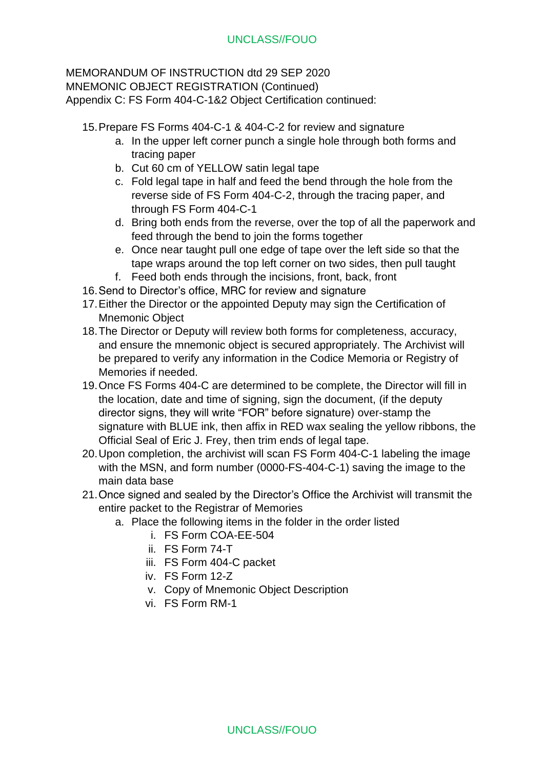#### MEMORANDUM OF INSTRUCTION dtd 29 SEP 2020 MNEMONIC OBJECT REGISTRATION (Continued) Appendix C: FS Form 404-C-1&2 Object Certification continued:

15.Prepare FS Forms 404-C-1 & 404-C-2 for review and signature

- a. In the upper left corner punch a single hole through both forms and tracing paper
- b. Cut 60 cm of YELLOW satin legal tape
- c. Fold legal tape in half and feed the bend through the hole from the reverse side of FS Form 404-C-2, through the tracing paper, and through FS Form 404-C-1
- d. Bring both ends from the reverse, over the top of all the paperwork and feed through the bend to join the forms together
- e. Once near taught pull one edge of tape over the left side so that the tape wraps around the top left corner on two sides, then pull taught
- f. Feed both ends through the incisions, front, back, front
- 16.Send to Director's office, MRC for review and signature
- 17.Either the Director or the appointed Deputy may sign the Certification of Mnemonic Object
- 18.The Director or Deputy will review both forms for completeness, accuracy, and ensure the mnemonic object is secured appropriately. The Archivist will be prepared to verify any information in the Codice Memoria or Registry of Memories if needed.
- 19.Once FS Forms 404-C are determined to be complete, the Director will fill in the location, date and time of signing, sign the document, (if the deputy director signs, they will write "FOR" before signature) over-stamp the signature with BLUE ink, then affix in RED wax sealing the yellow ribbons, the Official Seal of Eric J. Frey, then trim ends of legal tape.
- 20.Upon completion, the archivist will scan FS Form 404-C-1 labeling the image with the MSN, and form number (0000-FS-404-C-1) saving the image to the main data base
- 21.Once signed and sealed by the Director's Office the Archivist will transmit the entire packet to the Registrar of Memories
	- a. Place the following items in the folder in the order listed
		- i. FS Form COA-EE-504
		- ii. FS Form 74-T
		- iii. FS Form 404-C packet
		- iv. FS Form 12-Z
		- v. Copy of Mnemonic Object Description
		- vi. FS Form RM-1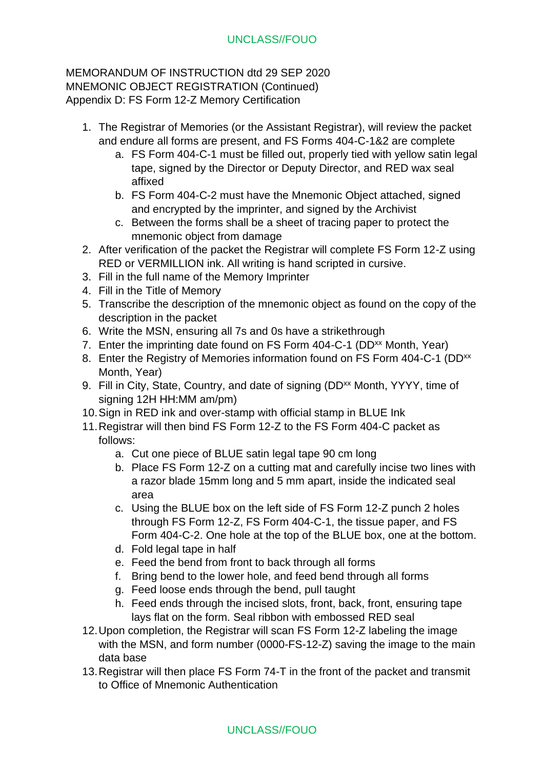MEMORANDUM OF INSTRUCTION dtd 29 SEP 2020 MNEMONIC OBJECT REGISTRATION (Continued) Appendix D: FS Form 12-Z Memory Certification

- 1. The Registrar of Memories (or the Assistant Registrar), will review the packet and endure all forms are present, and FS Forms 404-C-1&2 are complete
	- a. FS Form 404-C-1 must be filled out, properly tied with yellow satin legal tape, signed by the Director or Deputy Director, and RED wax seal affixed
	- b. FS Form 404-C-2 must have the Mnemonic Object attached, signed and encrypted by the imprinter, and signed by the Archivist
	- c. Between the forms shall be a sheet of tracing paper to protect the mnemonic object from damage
- 2. After verification of the packet the Registrar will complete FS Form 12-Z using RED or VERMILLION ink. All writing is hand scripted in cursive.
- 3. Fill in the full name of the Memory Imprinter
- 4. Fill in the Title of Memory
- 5. Transcribe the description of the mnemonic object as found on the copy of the description in the packet
- 6. Write the MSN, ensuring all 7s and 0s have a strikethrough
- 7. Enter the imprinting date found on FS Form 404-C-1 (DD<sup>xx</sup> Month, Year)
- 8. Enter the Registry of Memories information found on FS Form 404-C-1 (DD<sup>xx</sup>) Month, Year)
- 9. Fill in City, State, Country, and date of signing (DD<sup>xx</sup> Month, YYYY, time of signing 12H HH:MM am/pm)
- 10.Sign in RED ink and over-stamp with official stamp in BLUE Ink
- 11.Registrar will then bind FS Form 12-Z to the FS Form 404-C packet as follows:
	- a. Cut one piece of BLUE satin legal tape 90 cm long
	- b. Place FS Form 12-Z on a cutting mat and carefully incise two lines with a razor blade 15mm long and 5 mm apart, inside the indicated seal area
	- c. Using the BLUE box on the left side of FS Form 12-Z punch 2 holes through FS Form 12-Z, FS Form 404-C-1, the tissue paper, and FS Form 404-C-2. One hole at the top of the BLUE box, one at the bottom.
	- d. Fold legal tape in half
	- e. Feed the bend from front to back through all forms
	- f. Bring bend to the lower hole, and feed bend through all forms
	- g. Feed loose ends through the bend, pull taught
	- h. Feed ends through the incised slots, front, back, front, ensuring tape lays flat on the form. Seal ribbon with embossed RED seal
- 12.Upon completion, the Registrar will scan FS Form 12-Z labeling the image with the MSN, and form number (0000-FS-12-Z) saving the image to the main data base
- 13.Registrar will then place FS Form 74-T in the front of the packet and transmit to Office of Mnemonic Authentication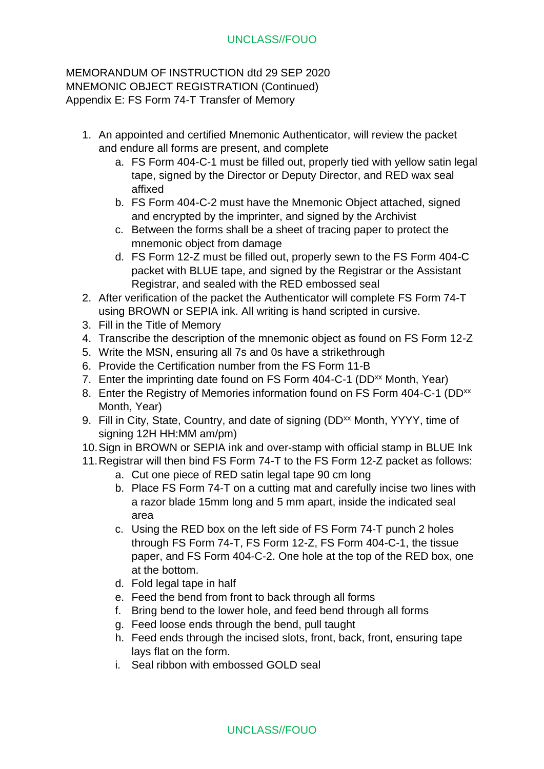MEMORANDUM OF INSTRUCTION dtd 29 SEP 2020 MNEMONIC OBJECT REGISTRATION (Continued) Appendix E: FS Form 74-T Transfer of Memory

- 1. An appointed and certified Mnemonic Authenticator, will review the packet and endure all forms are present, and complete
	- a. FS Form 404-C-1 must be filled out, properly tied with yellow satin legal tape, signed by the Director or Deputy Director, and RED wax seal affixed
	- b. FS Form 404-C-2 must have the Mnemonic Object attached, signed and encrypted by the imprinter, and signed by the Archivist
	- c. Between the forms shall be a sheet of tracing paper to protect the mnemonic object from damage
	- d. FS Form 12-Z must be filled out, properly sewn to the FS Form 404-C packet with BLUE tape, and signed by the Registrar or the Assistant Registrar, and sealed with the RED embossed seal
- 2. After verification of the packet the Authenticator will complete FS Form 74-T using BROWN or SEPIA ink. All writing is hand scripted in cursive.
- 3. Fill in the Title of Memory
- 4. Transcribe the description of the mnemonic object as found on FS Form 12-Z
- 5. Write the MSN, ensuring all 7s and 0s have a strikethrough
- 6. Provide the Certification number from the FS Form 11-B
- 7. Enter the imprinting date found on FS Form 404-C-1 (DD<sup>xx</sup> Month, Year)
- 8. Enter the Registry of Memories information found on FS Form 404-C-1 (DD<sup>xx</sup>) Month, Year)
- 9. Fill in City, State, Country, and date of signing (DD<sup>xx</sup> Month, YYYY, time of signing 12H HH:MM am/pm)
- 10.Sign in BROWN or SEPIA ink and over-stamp with official stamp in BLUE Ink
- 11.Registrar will then bind FS Form 74-T to the FS Form 12-Z packet as follows:
	- a. Cut one piece of RED satin legal tape 90 cm long
	- b. Place FS Form 74-T on a cutting mat and carefully incise two lines with a razor blade 15mm long and 5 mm apart, inside the indicated seal area
	- c. Using the RED box on the left side of FS Form 74-T punch 2 holes through FS Form 74-T, FS Form 12-Z, FS Form 404-C-1, the tissue paper, and FS Form 404-C-2. One hole at the top of the RED box, one at the bottom.
	- d. Fold legal tape in half
	- e. Feed the bend from front to back through all forms
	- f. Bring bend to the lower hole, and feed bend through all forms
	- g. Feed loose ends through the bend, pull taught
	- h. Feed ends through the incised slots, front, back, front, ensuring tape lays flat on the form.
	- i. Seal ribbon with embossed GOLD seal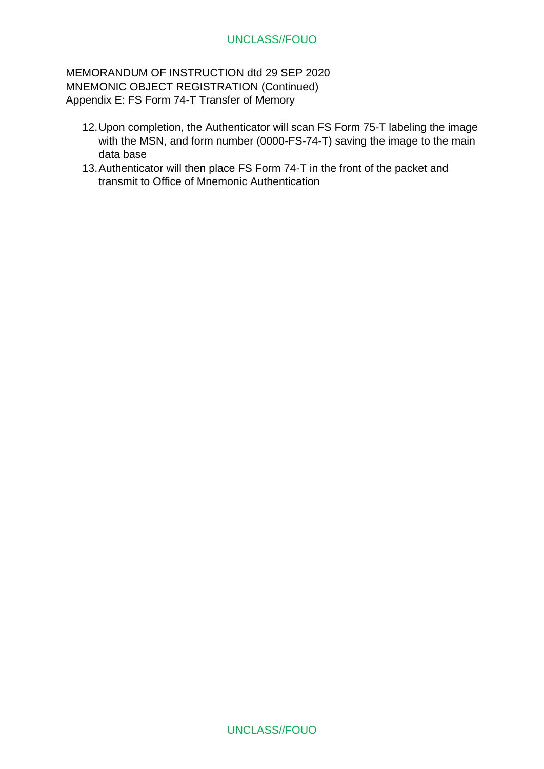MEMORANDUM OF INSTRUCTION dtd 29 SEP 2020 MNEMONIC OBJECT REGISTRATION (Continued) Appendix E: FS Form 74-T Transfer of Memory

- 12.Upon completion, the Authenticator will scan FS Form 75-T labeling the image with the MSN, and form number (0000-FS-74-T) saving the image to the main data base
- 13.Authenticator will then place FS Form 74-T in the front of the packet and transmit to Office of Mnemonic Authentication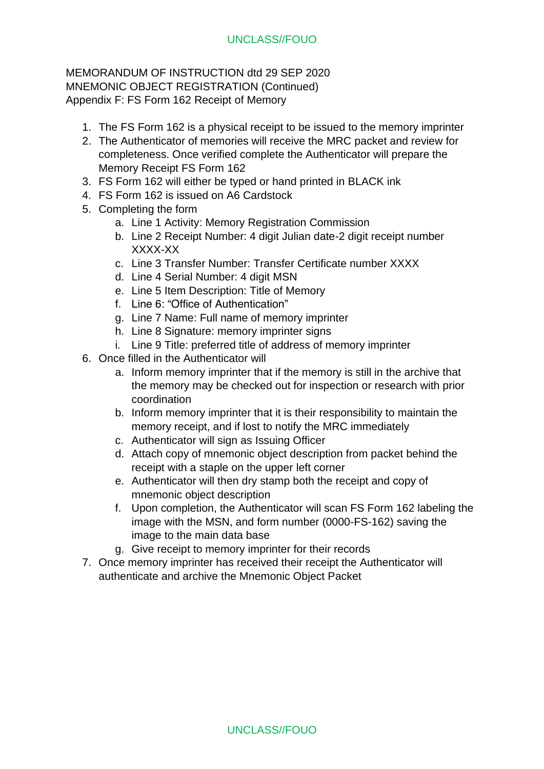MEMORANDUM OF INSTRUCTION dtd 29 SEP 2020 MNEMONIC OBJECT REGISTRATION (Continued) Appendix F: FS Form 162 Receipt of Memory

- 1. The FS Form 162 is a physical receipt to be issued to the memory imprinter
- 2. The Authenticator of memories will receive the MRC packet and review for completeness. Once verified complete the Authenticator will prepare the Memory Receipt FS Form 162
- 3. FS Form 162 will either be typed or hand printed in BLACK ink
- 4. FS Form 162 is issued on A6 Cardstock
- 5. Completing the form
	- a. Line 1 Activity: Memory Registration Commission
	- b. Line 2 Receipt Number: 4 digit Julian date-2 digit receipt number XXXX-XX
	- c. Line 3 Transfer Number: Transfer Certificate number XXXX
	- d. Line 4 Serial Number: 4 digit MSN
	- e. Line 5 Item Description: Title of Memory
	- f. Line 6: "Office of Authentication"
	- g. Line 7 Name: Full name of memory imprinter
	- h. Line 8 Signature: memory imprinter signs
	- i. Line 9 Title: preferred title of address of memory imprinter
- 6. Once filled in the Authenticator will
	- a. Inform memory imprinter that if the memory is still in the archive that the memory may be checked out for inspection or research with prior coordination
	- b. Inform memory imprinter that it is their responsibility to maintain the memory receipt, and if lost to notify the MRC immediately
	- c. Authenticator will sign as Issuing Officer
	- d. Attach copy of mnemonic object description from packet behind the receipt with a staple on the upper left corner
	- e. Authenticator will then dry stamp both the receipt and copy of mnemonic object description
	- f. Upon completion, the Authenticator will scan FS Form 162 labeling the image with the MSN, and form number (0000-FS-162) saving the image to the main data base
	- g. Give receipt to memory imprinter for their records
- 7. Once memory imprinter has received their receipt the Authenticator will authenticate and archive the Mnemonic Object Packet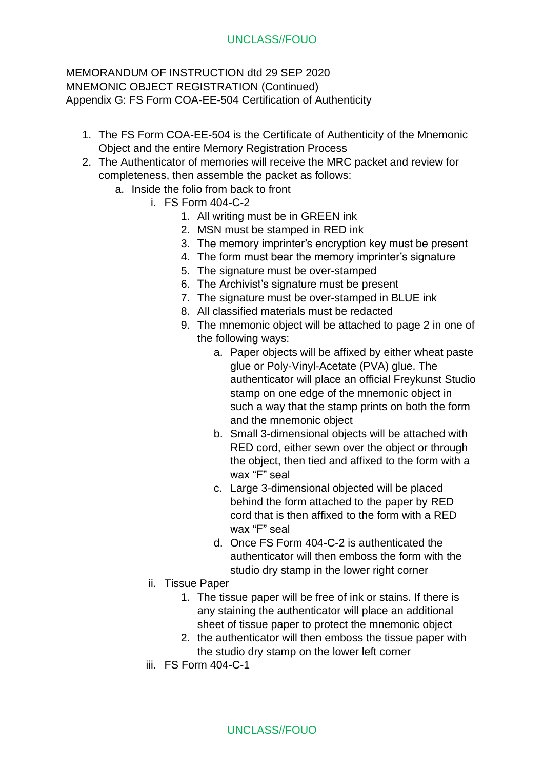- 1. The FS Form COA-EE-504 is the Certificate of Authenticity of the Mnemonic Object and the entire Memory Registration Process
- 2. The Authenticator of memories will receive the MRC packet and review for completeness, then assemble the packet as follows:
	- a. Inside the folio from back to front
		- i. FS Form 404-C-2
			- 1. All writing must be in GREEN ink
			- 2. MSN must be stamped in RED ink
			- 3. The memory imprinter's encryption key must be present
			- 4. The form must bear the memory imprinter's signature
			- 5. The signature must be over-stamped
			- 6. The Archivist's signature must be present
			- 7. The signature must be over-stamped in BLUE ink
			- 8. All classified materials must be redacted
			- 9. The mnemonic object will be attached to page 2 in one of the following ways:
				- a. Paper objects will be affixed by either wheat paste glue or Poly-Vinyl-Acetate (PVA) glue. The authenticator will place an official Freykunst Studio stamp on one edge of the mnemonic object in such a way that the stamp prints on both the form and the mnemonic object
				- b. Small 3-dimensional objects will be attached with RED cord, either sewn over the object or through the object, then tied and affixed to the form with a wax "F" seal
				- c. Large 3-dimensional objected will be placed behind the form attached to the paper by RED cord that is then affixed to the form with a RED wax "F" seal
				- d. Once FS Form 404-C-2 is authenticated the authenticator will then emboss the form with the studio dry stamp in the lower right corner
			- ii. Tissue Paper
				- 1. The tissue paper will be free of ink or stains. If there is any staining the authenticator will place an additional sheet of tissue paper to protect the mnemonic object
				- 2. the authenticator will then emboss the tissue paper with the studio dry stamp on the lower left corner
			- iii. FS Form 404-C-1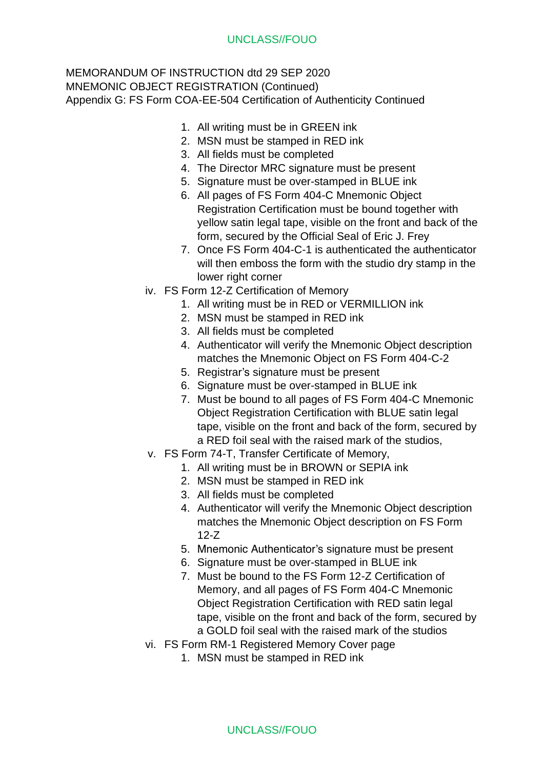- 1. All writing must be in GREEN ink
- 2. MSN must be stamped in RED ink
- 3. All fields must be completed
- 4. The Director MRC signature must be present
- 5. Signature must be over-stamped in BLUE ink
- 6. All pages of FS Form 404-C Mnemonic Object Registration Certification must be bound together with yellow satin legal tape, visible on the front and back of the form, secured by the Official Seal of Eric J. Frey
- 7. Once FS Form 404-C-1 is authenticated the authenticator will then emboss the form with the studio dry stamp in the lower right corner
- iv. FS Form 12-Z Certification of Memory
	- 1. All writing must be in RED or VERMILLION ink
	- 2. MSN must be stamped in RED ink
	- 3. All fields must be completed
	- 4. Authenticator will verify the Mnemonic Object description matches the Mnemonic Object on FS Form 404-C-2
	- 5. Registrar's signature must be present
	- 6. Signature must be over-stamped in BLUE ink
	- 7. Must be bound to all pages of FS Form 404-C Mnemonic Object Registration Certification with BLUE satin legal tape, visible on the front and back of the form, secured by a RED foil seal with the raised mark of the studios,
- v. FS Form 74-T, Transfer Certificate of Memory,
	- 1. All writing must be in BROWN or SEPIA ink
	- 2. MSN must be stamped in RED ink
	- 3. All fields must be completed
	- 4. Authenticator will verify the Mnemonic Object description matches the Mnemonic Object description on FS Form 12-Z
	- 5. Mnemonic Authenticator's signature must be present
	- 6. Signature must be over-stamped in BLUE ink
	- 7. Must be bound to the FS Form 12-Z Certification of Memory, and all pages of FS Form 404-C Mnemonic Object Registration Certification with RED satin legal tape, visible on the front and back of the form, secured by a GOLD foil seal with the raised mark of the studios
- vi. FS Form RM-1 Registered Memory Cover page
	- 1. MSN must be stamped in RED ink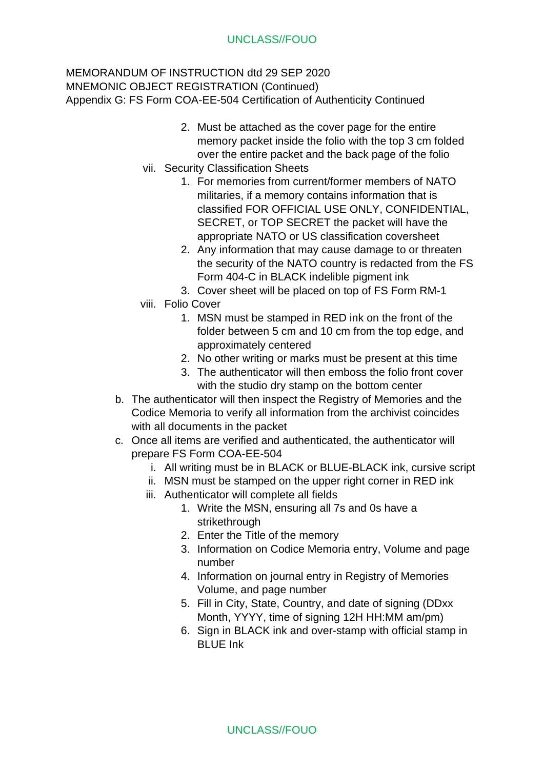- 2. Must be attached as the cover page for the entire memory packet inside the folio with the top 3 cm folded over the entire packet and the back page of the folio
- vii. Security Classification Sheets
	- 1. For memories from current/former members of NATO militaries, if a memory contains information that is classified FOR OFFICIAL USE ONLY, CONFIDENTIAL, SECRET, or TOP SECRET the packet will have the appropriate NATO or US classification coversheet
	- 2. Any information that may cause damage to or threaten the security of the NATO country is redacted from the FS Form 404-C in BLACK indelible pigment ink
	- 3. Cover sheet will be placed on top of FS Form RM-1
- viii. Folio Cover
	- 1. MSN must be stamped in RED ink on the front of the folder between 5 cm and 10 cm from the top edge, and approximately centered
	- 2. No other writing or marks must be present at this time
	- 3. The authenticator will then emboss the folio front cover with the studio dry stamp on the bottom center
- b. The authenticator will then inspect the Registry of Memories and the Codice Memoria to verify all information from the archivist coincides with all documents in the packet
- c. Once all items are verified and authenticated, the authenticator will prepare FS Form COA-EE-504
	- i. All writing must be in BLACK or BLUE-BLACK ink, cursive script
	- ii. MSN must be stamped on the upper right corner in RED ink
	- iii. Authenticator will complete all fields
		- 1. Write the MSN, ensuring all 7s and 0s have a strikethrough
		- 2. Enter the Title of the memory
		- 3. Information on Codice Memoria entry, Volume and page number
		- 4. Information on journal entry in Registry of Memories Volume, and page number
		- 5. Fill in City, State, Country, and date of signing (DDxx Month, YYYY, time of signing 12H HH:MM am/pm)
		- 6. Sign in BLACK ink and over-stamp with official stamp in BLUE Ink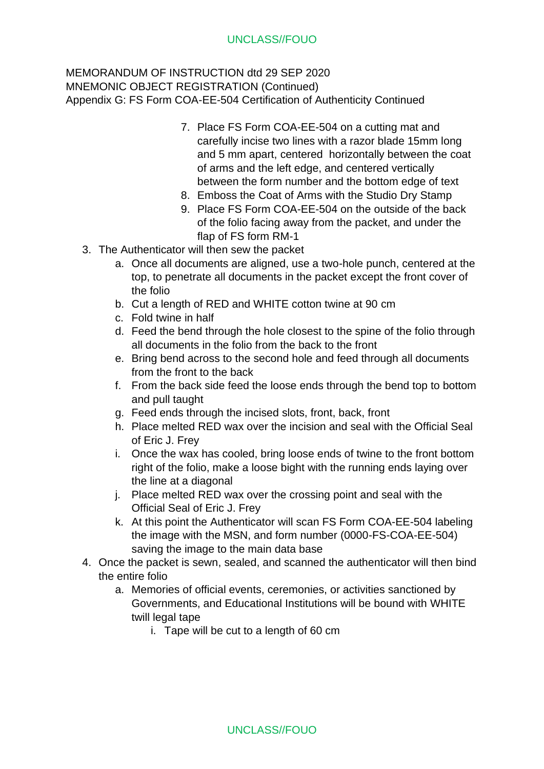- 7. Place FS Form COA-EE-504 on a cutting mat and carefully incise two lines with a razor blade 15mm long and 5 mm apart, centered horizontally between the coat of arms and the left edge, and centered vertically between the form number and the bottom edge of text
- 8. Emboss the Coat of Arms with the Studio Dry Stamp
- 9. Place FS Form COA-EE-504 on the outside of the back of the folio facing away from the packet, and under the flap of FS form RM-1
- 3. The Authenticator will then sew the packet
	- a. Once all documents are aligned, use a two-hole punch, centered at the top, to penetrate all documents in the packet except the front cover of the folio
	- b. Cut a length of RED and WHITE cotton twine at 90 cm
	- c. Fold twine in half
	- d. Feed the bend through the hole closest to the spine of the folio through all documents in the folio from the back to the front
	- e. Bring bend across to the second hole and feed through all documents from the front to the back
	- f. From the back side feed the loose ends through the bend top to bottom and pull taught
	- g. Feed ends through the incised slots, front, back, front
	- h. Place melted RED wax over the incision and seal with the Official Seal of Eric J. Frey
	- i. Once the wax has cooled, bring loose ends of twine to the front bottom right of the folio, make a loose bight with the running ends laying over the line at a diagonal
	- j. Place melted RED wax over the crossing point and seal with the Official Seal of Eric J. Frey
	- k. At this point the Authenticator will scan FS Form COA-EE-504 labeling the image with the MSN, and form number (0000-FS-COA-EE-504) saving the image to the main data base
- 4. Once the packet is sewn, sealed, and scanned the authenticator will then bind the entire folio
	- a. Memories of official events, ceremonies, or activities sanctioned by Governments, and Educational Institutions will be bound with WHITE twill legal tape
		- i. Tape will be cut to a length of 60 cm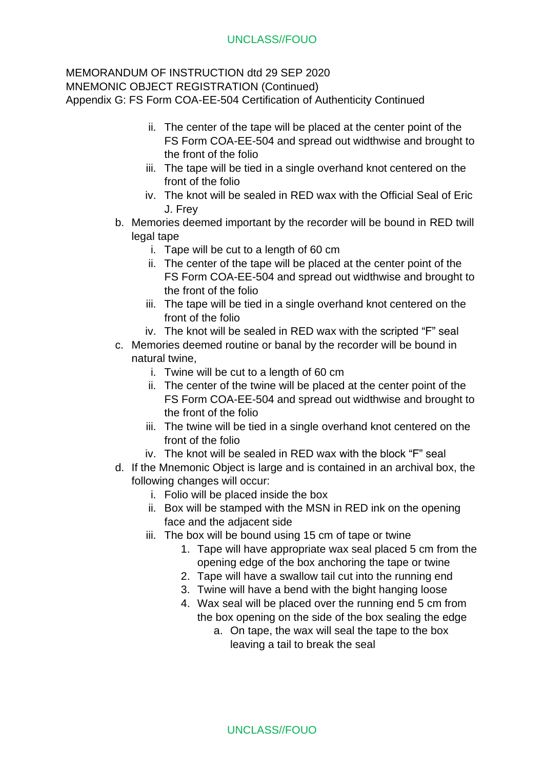- ii. The center of the tape will be placed at the center point of the FS Form COA-EE-504 and spread out widthwise and brought to the front of the folio
- iii. The tape will be tied in a single overhand knot centered on the front of the folio
- iv. The knot will be sealed in RED wax with the Official Seal of Eric J. Frey
- b. Memories deemed important by the recorder will be bound in RED twill legal tape
	- i. Tape will be cut to a length of 60 cm
	- ii. The center of the tape will be placed at the center point of the FS Form COA-EE-504 and spread out widthwise and brought to the front of the folio
	- iii. The tape will be tied in a single overhand knot centered on the front of the folio
	- iv. The knot will be sealed in RED wax with the scripted "F" seal
- c. Memories deemed routine or banal by the recorder will be bound in natural twine,
	- i. Twine will be cut to a length of 60 cm
	- ii. The center of the twine will be placed at the center point of the FS Form COA-EE-504 and spread out widthwise and brought to the front of the folio
	- iii. The twine will be tied in a single overhand knot centered on the front of the folio
	- iv. The knot will be sealed in RED wax with the block "F" seal
- d. If the Mnemonic Object is large and is contained in an archival box, the following changes will occur:
	- i. Folio will be placed inside the box
	- ii. Box will be stamped with the MSN in RED ink on the opening face and the adjacent side
	- iii. The box will be bound using 15 cm of tape or twine
		- 1. Tape will have appropriate wax seal placed 5 cm from the opening edge of the box anchoring the tape or twine
		- 2. Tape will have a swallow tail cut into the running end
		- 3. Twine will have a bend with the bight hanging loose
		- 4. Wax seal will be placed over the running end 5 cm from the box opening on the side of the box sealing the edge
			- a. On tape, the wax will seal the tape to the box leaving a tail to break the seal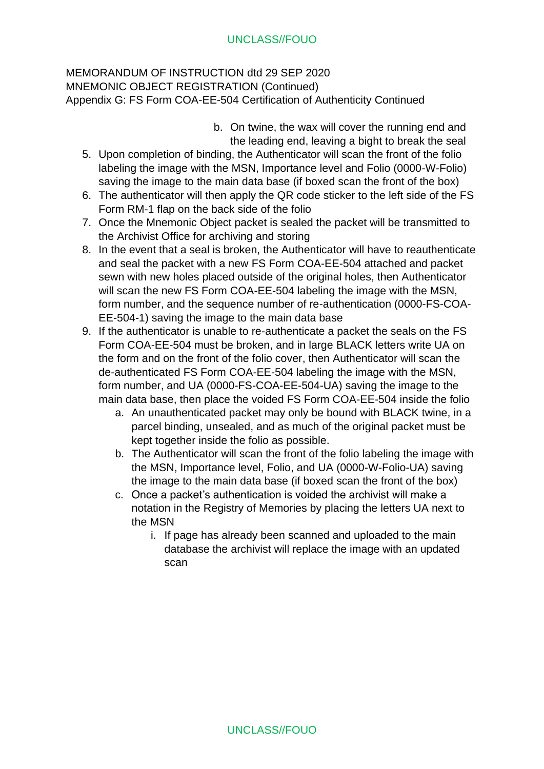- b. On twine, the wax will cover the running end and the leading end, leaving a bight to break the seal
- 5. Upon completion of binding, the Authenticator will scan the front of the folio labeling the image with the MSN, Importance level and Folio (0000-W-Folio) saving the image to the main data base (if boxed scan the front of the box)
- 6. The authenticator will then apply the QR code sticker to the left side of the FS Form RM-1 flap on the back side of the folio
- 7. Once the Mnemonic Object packet is sealed the packet will be transmitted to the Archivist Office for archiving and storing
- 8. In the event that a seal is broken, the Authenticator will have to reauthenticate and seal the packet with a new FS Form COA-EE-504 attached and packet sewn with new holes placed outside of the original holes, then Authenticator will scan the new FS Form COA-EE-504 labeling the image with the MSN, form number, and the sequence number of re-authentication (0000-FS-COA-EE-504-1) saving the image to the main data base
- 9. If the authenticator is unable to re-authenticate a packet the seals on the FS Form COA-EE-504 must be broken, and in large BLACK letters write UA on the form and on the front of the folio cover, then Authenticator will scan the de-authenticated FS Form COA-EE-504 labeling the image with the MSN, form number, and UA (0000-FS-COA-EE-504-UA) saving the image to the main data base, then place the voided FS Form COA-EE-504 inside the folio
	- a. An unauthenticated packet may only be bound with BLACK twine, in a parcel binding, unsealed, and as much of the original packet must be kept together inside the folio as possible.
	- b. The Authenticator will scan the front of the folio labeling the image with the MSN, Importance level, Folio, and UA (0000-W-Folio-UA) saving the image to the main data base (if boxed scan the front of the box)
	- c. Once a packet's authentication is voided the archivist will make a notation in the Registry of Memories by placing the letters UA next to the MSN
		- i. If page has already been scanned and uploaded to the main database the archivist will replace the image with an updated scan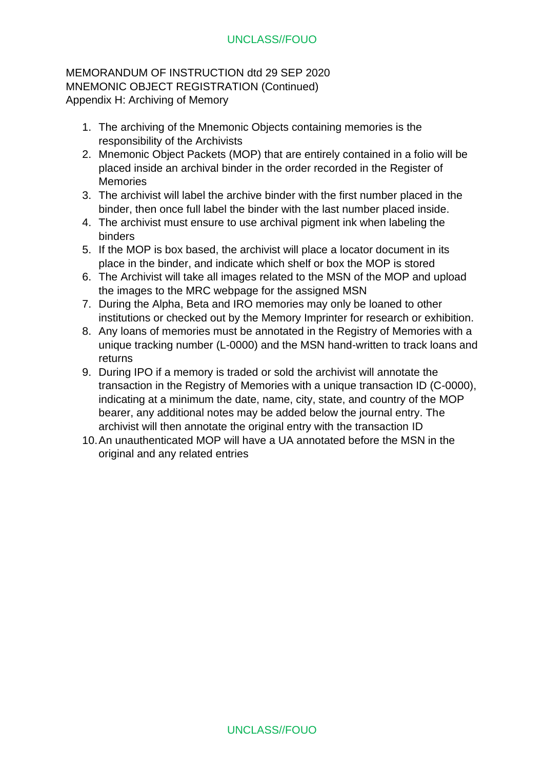MEMORANDUM OF INSTRUCTION dtd 29 SEP 2020 MNEMONIC OBJECT REGISTRATION (Continued) Appendix H: Archiving of Memory

- 1. The archiving of the Mnemonic Objects containing memories is the responsibility of the Archivists
- 2. Mnemonic Object Packets (MOP) that are entirely contained in a folio will be placed inside an archival binder in the order recorded in the Register of **Memories**
- 3. The archivist will label the archive binder with the first number placed in the binder, then once full label the binder with the last number placed inside.
- 4. The archivist must ensure to use archival pigment ink when labeling the binders
- 5. If the MOP is box based, the archivist will place a locator document in its place in the binder, and indicate which shelf or box the MOP is stored
- 6. The Archivist will take all images related to the MSN of the MOP and upload the images to the MRC webpage for the assigned MSN
- 7. During the Alpha, Beta and IRO memories may only be loaned to other institutions or checked out by the Memory Imprinter for research or exhibition.
- 8. Any loans of memories must be annotated in the Registry of Memories with a unique tracking number (L-0000) and the MSN hand-written to track loans and returns
- 9. During IPO if a memory is traded or sold the archivist will annotate the transaction in the Registry of Memories with a unique transaction ID (C-0000), indicating at a minimum the date, name, city, state, and country of the MOP bearer, any additional notes may be added below the journal entry. The archivist will then annotate the original entry with the transaction ID
- 10.An unauthenticated MOP will have a UA annotated before the MSN in the original and any related entries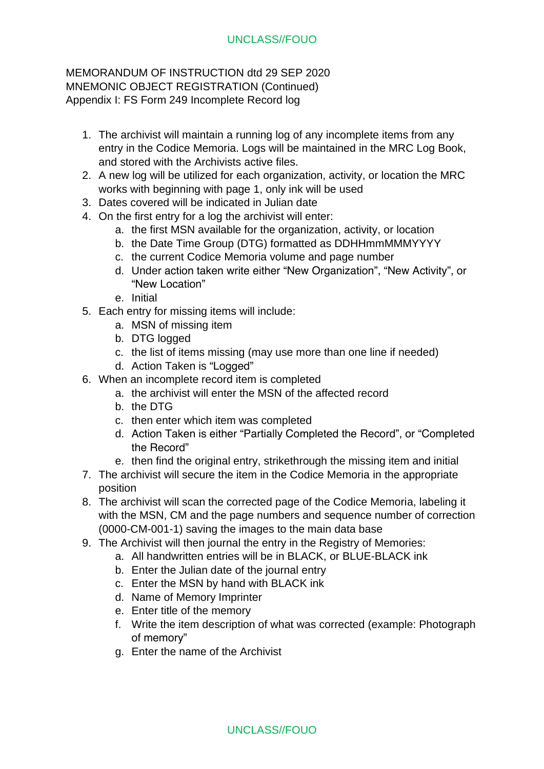## MEMORANDUM OF INSTRUCTION dtd 29 SEP 2020 MNEMONIC OBJECT REGISTRATION (Continued) Appendix I: FS Form 249 Incomplete Record log

- 1. The archivist will maintain a running log of any incomplete items from any entry in the Codice Memoria. Logs will be maintained in the MRC Log Book, and stored with the Archivists active files.
- 2. A new log will be utilized for each organization, activity, or location the MRC works with beginning with page 1, only ink will be used
- 3. Dates covered will be indicated in Julian date
- 4. On the first entry for a log the archivist will enter:
	- a. the first MSN available for the organization, activity, or location
	- b. the Date Time Group (DTG) formatted as DDHHmmMMMYYYY
	- c. the current Codice Memoria volume and page number
	- d. Under action taken write either "New Organization", "New Activity", or "New Location"
	- e. Initial
- 5. Each entry for missing items will include:
	- a. MSN of missing item
	- b. DTG logged
	- c. the list of items missing (may use more than one line if needed)
	- d. Action Taken is "Logged"
- 6. When an incomplete record item is completed
	- a. the archivist will enter the MSN of the affected record
	- b. the DTG
	- c. then enter which item was completed
	- d. Action Taken is either "Partially Completed the Record", or "Completed the Record"
	- e. then find the original entry, strikethrough the missing item and initial
- 7. The archivist will secure the item in the Codice Memoria in the appropriate position
- 8. The archivist will scan the corrected page of the Codice Memoria, labeling it with the MSN, CM and the page numbers and sequence number of correction (0000-CM-001-1) saving the images to the main data base
- 9. The Archivist will then journal the entry in the Registry of Memories:
	- a. All handwritten entries will be in BLACK, or BLUE-BLACK ink
		- b. Enter the Julian date of the journal entry
		- c. Enter the MSN by hand with BLACK ink
		- d. Name of Memory Imprinter
		- e. Enter title of the memory
		- f. Write the item description of what was corrected (example: Photograph of memory"
		- g. Enter the name of the Archivist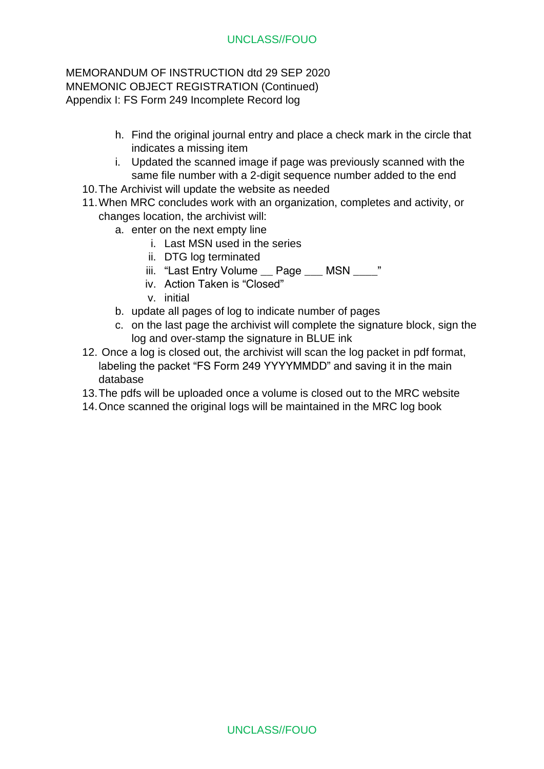### MEMORANDUM OF INSTRUCTION dtd 29 SEP 2020 MNEMONIC OBJECT REGISTRATION (Continued) Appendix I: FS Form 249 Incomplete Record log

- h. Find the original journal entry and place a check mark in the circle that indicates a missing item
- i. Updated the scanned image if page was previously scanned with the same file number with a 2-digit sequence number added to the end
- 10.The Archivist will update the website as needed
- 11.When MRC concludes work with an organization, completes and activity, or changes location, the archivist will:
	- a. enter on the next empty line
		- i. Last MSN used in the series
		- ii. DTG log terminated
		- iii. "Last Entry Volume \_\_ Page \_\_\_ MSN \_\_\_\_"
		- iv. Action Taken is "Closed"
		- v. initial
	- b. update all pages of log to indicate number of pages
	- c. on the last page the archivist will complete the signature block, sign the log and over-stamp the signature in BLUE ink
- 12. Once a log is closed out, the archivist will scan the log packet in pdf format, labeling the packet "FS Form 249 YYYYMMDD" and saving it in the main database
- 13.The pdfs will be uploaded once a volume is closed out to the MRC website
- 14.Once scanned the original logs will be maintained in the MRC log book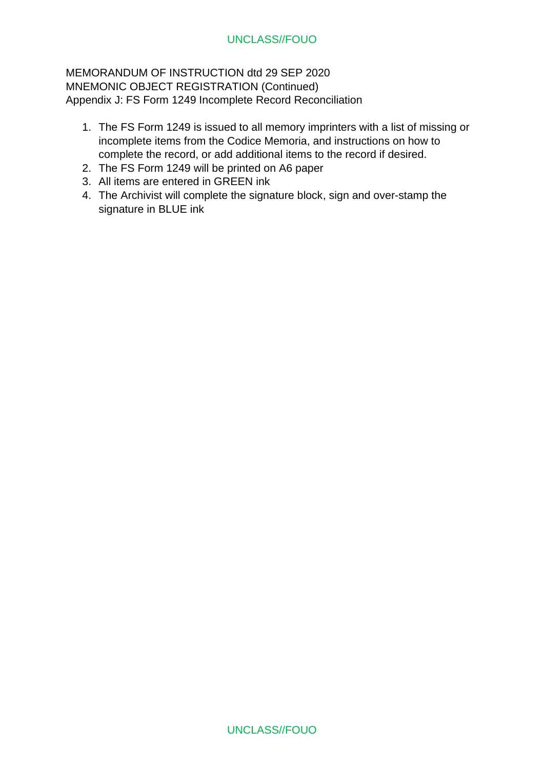MEMORANDUM OF INSTRUCTION dtd 29 SEP 2020 MNEMONIC OBJECT REGISTRATION (Continued) Appendix J: FS Form 1249 Incomplete Record Reconciliation

- 1. The FS Form 1249 is issued to all memory imprinters with a list of missing or incomplete items from the Codice Memoria, and instructions on how to complete the record, or add additional items to the record if desired.
- 2. The FS Form 1249 will be printed on A6 paper
- 3. All items are entered in GREEN ink
- 4. The Archivist will complete the signature block, sign and over-stamp the signature in BLUE ink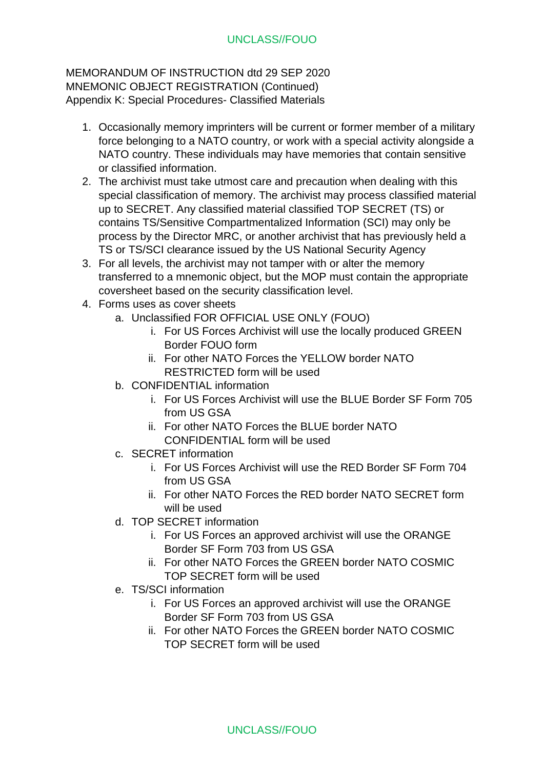- 1. Occasionally memory imprinters will be current or former member of a military force belonging to a NATO country, or work with a special activity alongside a NATO country. These individuals may have memories that contain sensitive or classified information.
- 2. The archivist must take utmost care and precaution when dealing with this special classification of memory. The archivist may process classified material up to SECRET. Any classified material classified TOP SECRET (TS) or contains TS/Sensitive Compartmentalized Information (SCI) may only be process by the Director MRC, or another archivist that has previously held a TS or TS/SCI clearance issued by the US National Security Agency
- 3. For all levels, the archivist may not tamper with or alter the memory transferred to a mnemonic object, but the MOP must contain the appropriate coversheet based on the security classification level.
- 4. Forms uses as cover sheets
	- a. Unclassified FOR OFFICIAL USE ONLY (FOUO)
		- i. For US Forces Archivist will use the locally produced GREEN Border FOUO form
		- ii. For other NATO Forces the YELLOW border NATO RESTRICTED form will be used
	- b. CONFIDENTIAL information
		- i. For US Forces Archivist will use the BLUE Border SF Form 705 from US GSA
		- ii. For other NATO Forces the BLUE border NATO CONFIDENTIAL form will be used
	- c. SECRET information
		- i. For US Forces Archivist will use the RED Border SF Form 704 from US GSA
		- ii. For other NATO Forces the RED border NATO SECRET form will be used
	- d. TOP SECRET information
		- i. For US Forces an approved archivist will use the ORANGE Border SF Form 703 from US GSA
		- ii. For other NATO Forces the GREEN border NATO COSMIC TOP SECRET form will be used
	- e. TS/SCI information
		- i. For US Forces an approved archivist will use the ORANGE Border SF Form 703 from US GSA
		- ii. For other NATO Forces the GREEN border NATO COSMIC TOP SECRET form will be used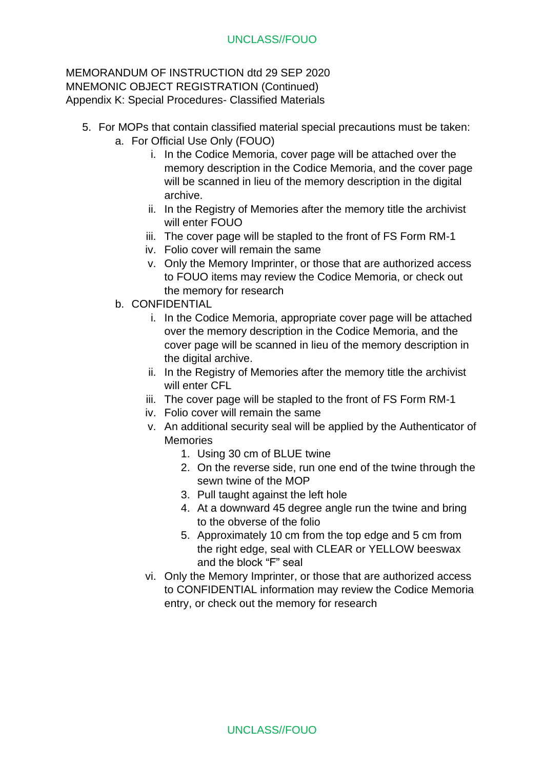- 5. For MOPs that contain classified material special precautions must be taken: a. For Official Use Only (FOUO)
	- i. In the Codice Memoria, cover page will be attached over the memory description in the Codice Memoria, and the cover page will be scanned in lieu of the memory description in the digital archive.
	- ii. In the Registry of Memories after the memory title the archivist will enter FOUO
	- iii. The cover page will be stapled to the front of FS Form RM-1
	- iv. Folio cover will remain the same
	- v. Only the Memory Imprinter, or those that are authorized access to FOUO items may review the Codice Memoria, or check out the memory for research
	- b. CONFIDENTIAL
		- i. In the Codice Memoria, appropriate cover page will be attached over the memory description in the Codice Memoria, and the cover page will be scanned in lieu of the memory description in the digital archive.
		- ii. In the Registry of Memories after the memory title the archivist will enter CFL
		- iii. The cover page will be stapled to the front of FS Form RM-1
		- iv. Folio cover will remain the same
		- v. An additional security seal will be applied by the Authenticator of Memories
			- 1. Using 30 cm of BLUE twine
			- 2. On the reverse side, run one end of the twine through the sewn twine of the MOP
			- 3. Pull taught against the left hole
			- 4. At a downward 45 degree angle run the twine and bring to the obverse of the folio
			- 5. Approximately 10 cm from the top edge and 5 cm from the right edge, seal with CLEAR or YELLOW beeswax and the block "F" seal
		- vi. Only the Memory Imprinter, or those that are authorized access to CONFIDENTIAL information may review the Codice Memoria entry, or check out the memory for research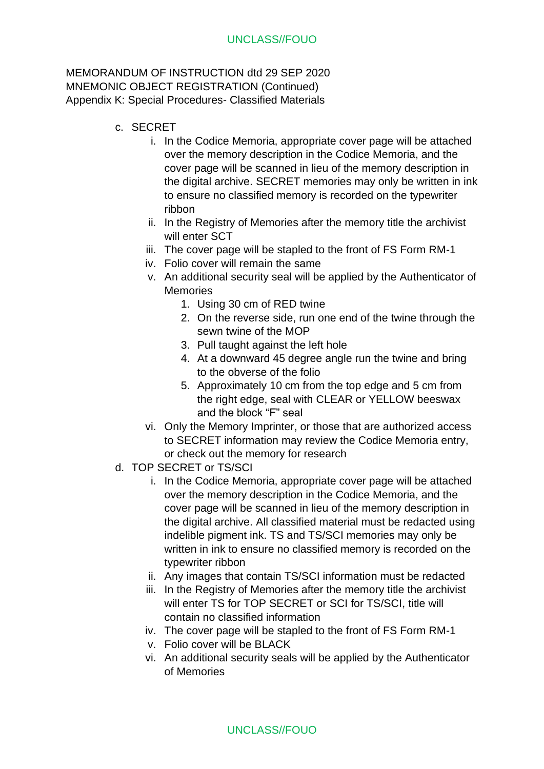- c. SECRET
	- i. In the Codice Memoria, appropriate cover page will be attached over the memory description in the Codice Memoria, and the cover page will be scanned in lieu of the memory description in the digital archive. SECRET memories may only be written in ink to ensure no classified memory is recorded on the typewriter ribbon
	- ii. In the Registry of Memories after the memory title the archivist will enter SCT
	- iii. The cover page will be stapled to the front of FS Form RM-1
	- iv. Folio cover will remain the same
	- v. An additional security seal will be applied by the Authenticator of **Memories** 
		- 1. Using 30 cm of RED twine
		- 2. On the reverse side, run one end of the twine through the sewn twine of the MOP
		- 3. Pull taught against the left hole
		- 4. At a downward 45 degree angle run the twine and bring to the obverse of the folio
		- 5. Approximately 10 cm from the top edge and 5 cm from the right edge, seal with CLEAR or YELLOW beeswax and the block "F" seal
	- vi. Only the Memory Imprinter, or those that are authorized access to SECRET information may review the Codice Memoria entry, or check out the memory for research
- d. TOP SECRET or TS/SCI
	- i. In the Codice Memoria, appropriate cover page will be attached over the memory description in the Codice Memoria, and the cover page will be scanned in lieu of the memory description in the digital archive. All classified material must be redacted using indelible pigment ink. TS and TS/SCI memories may only be written in ink to ensure no classified memory is recorded on the typewriter ribbon
	- ii. Any images that contain TS/SCI information must be redacted
	- iii. In the Registry of Memories after the memory title the archivist will enter TS for TOP SECRET or SCI for TS/SCI, title will contain no classified information
	- iv. The cover page will be stapled to the front of FS Form RM-1
	- v. Folio cover will be BLACK
	- vi. An additional security seals will be applied by the Authenticator of Memories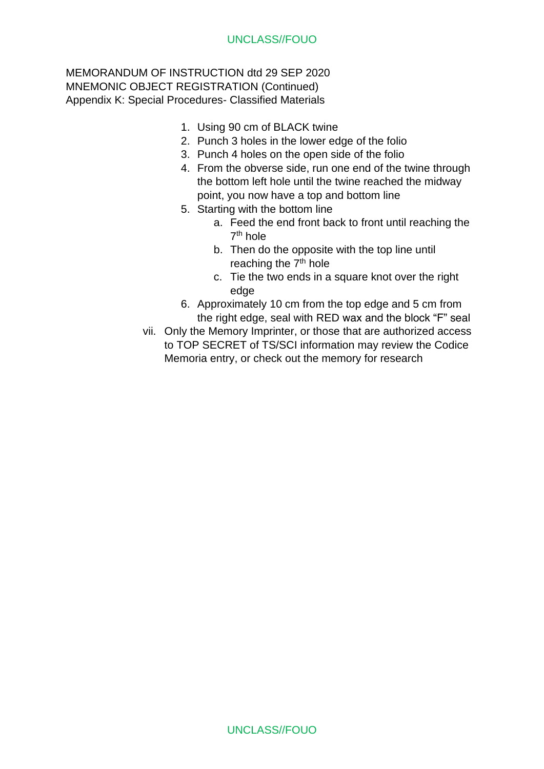- 1. Using 90 cm of BLACK twine
- 2. Punch 3 holes in the lower edge of the folio
- 3. Punch 4 holes on the open side of the folio
- 4. From the obverse side, run one end of the twine through the bottom left hole until the twine reached the midway point, you now have a top and bottom line
- 5. Starting with the bottom line
	- a. Feed the end front back to front until reaching the 7<sup>th</sup> hole
	- b. Then do the opposite with the top line until reaching the 7<sup>th</sup> hole
	- c. Tie the two ends in a square knot over the right edge
- 6. Approximately 10 cm from the top edge and 5 cm from the right edge, seal with RED wax and the block "F" seal
- vii. Only the Memory Imprinter, or those that are authorized access to TOP SECRET of TS/SCI information may review the Codice Memoria entry, or check out the memory for research